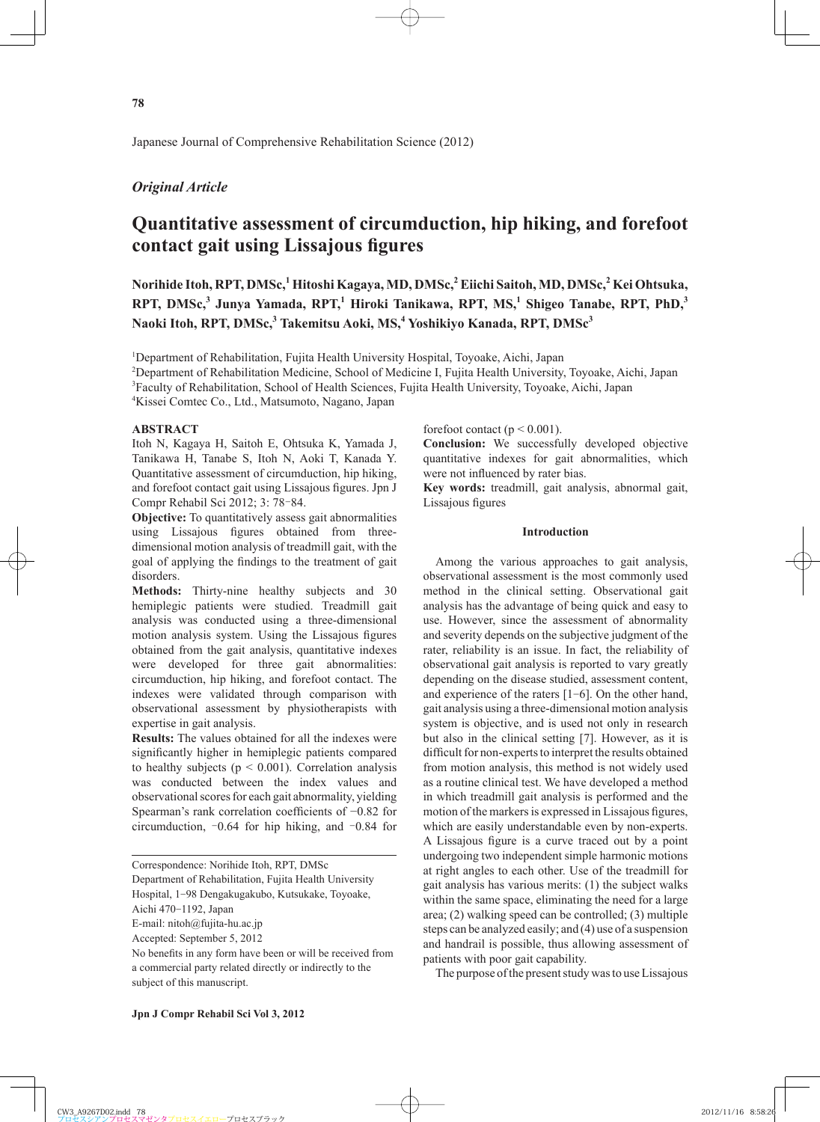Japanese Journal of Comprehensive Rehabilitation Science (2012)

# *Original Article*

# **Quantitative assessment of circumduction, hip hiking, and forefoot contact gait using Lissajous figures**

**Norihide Itoh, RPT, DMSc,<sup>1</sup> Hitoshi Kagaya, MD, DMSc,2 Eiichi Saitoh, MD, DMSc,2 Kei Ohtsuka, RPT, DMSc,<sup>3</sup> Junya Yamada, RPT,<sup>1</sup> Hiroki Tanikawa, RPT, MS,1 Shigeo Tanabe, RPT, PhD,<sup>3</sup> Naoki Itoh, RPT, DMSc,<sup>3</sup> Takemitsu Aoki, MS,<sup>4</sup> Yoshikiyo Kanada, RPT, DMSc<sup>3</sup>**

<sup>1</sup>Department of Rehabilitation, Fujita Health University Hospital, Toyoake, Aichi, Japan

2 Department of Rehabilitation Medicine, School of Medicine I, Fujita Health University, Toyoake, Aichi, Japan 3 Faculty of Rehabilitation, School of Health Sciences, Fujita Health University, Toyoake, Aichi, Japan

4 Kissei Comtec Co., Ltd., Matsumoto, Nagano, Japan

# **ABSTRACT**

Itoh N, Kagaya H, Saitoh E, Ohtsuka K, Yamada J, Tanikawa H, Tanabe S, Itoh N, Aoki T, Kanada Y. Quantitative assessment of circumduction, hip hiking, and forefoot contact gait using Lissajous figures. Jpn J Compr Rehabil Sci 2012; 3: 78‒84.

**Objective:** To quantitatively assess gait abnormalities using Lissajous figures obtained from threedimensional motion analysis of treadmill gait, with the goal of applying the findings to the treatment of gait disorders.

**Methods:** Thirty-nine healthy subjects and 30 hemiplegic patients were studied. Treadmill gait analysis was conducted using a three-dimensional motion analysis system. Using the Lissajous figures obtained from the gait analysis, quantitative indexes were developed for three gait abnormalities: circumduction, hip hiking, and forefoot contact. The indexes were validated through comparison with observational assessment by physiotherapists with expertise in gait analysis.

**Results:** The values obtained for all the indexes were significantly higher in hemiplegic patients compared to healthy subjects ( $p < 0.001$ ). Correlation analysis was conducted between the index values and observational scores for each gait abnormality, yielding Spearman's rank correlation coefficients of −0.82 for circumduction,  $-0.64$  for hip hiking, and  $-0.84$  for

Correspondence: Norihide Itoh, RPT, DMSc

Department of Rehabilitation, Fujita Health University

Hospital, 1-98 Dengakugakubo, Kutsukake, Toyoake,

E-mail: nitoh@fujita-hu.ac.jp

forefoot contact ( $p < 0.001$ ).

**Conclusion:** We successfully developed objective quantitative indexes for gait abnormalities, which were not influenced by rater bias.

**Key words:** treadmill, gait analysis, abnormal gait, Lissajous figures

# **Introduction**

Among the various approaches to gait analysis, observational assessment is the most commonly used method in the clinical setting. Observational gait analysis has the advantage of being quick and easy to use. However, since the assessment of abnormality and severity depends on the subjective judgment of the rater, reliability is an issue. In fact, the reliability of observational gait analysis is reported to vary greatly depending on the disease studied, assessment content, and experience of the raters [1-6]. On the other hand, gait analysis using a three-dimensional motion analysis system is objective, and is used not only in research but also in the clinical setting [7]. However, as it is difficult for non-experts to interpret the results obtained from motion analysis, this method is not widely used as a routine clinical test. We have developed a method in which treadmill gait analysis is performed and the motion of the markers is expressed in Lissajous figures, which are easily understandable even by non-experts. A Lissajous figure is a curve traced out by a point undergoing two independent simple harmonic motions at right angles to each other. Use of the treadmill for gait analysis has various merits: (1) the subject walks within the same space, eliminating the need for a large area; (2) walking speed can be controlled; (3) multiple steps can be analyzed easily; and (4) use of a suspension and handrail is possible, thus allowing assessment of patients with poor gait capability.

The purpose of the present study was to use Lissajous

Aichi 470-1192, Japan

Accepted: September 5, 2012

No benefits in any form have been or will be received from a commercial party related directly or indirectly to the subject of this manuscript.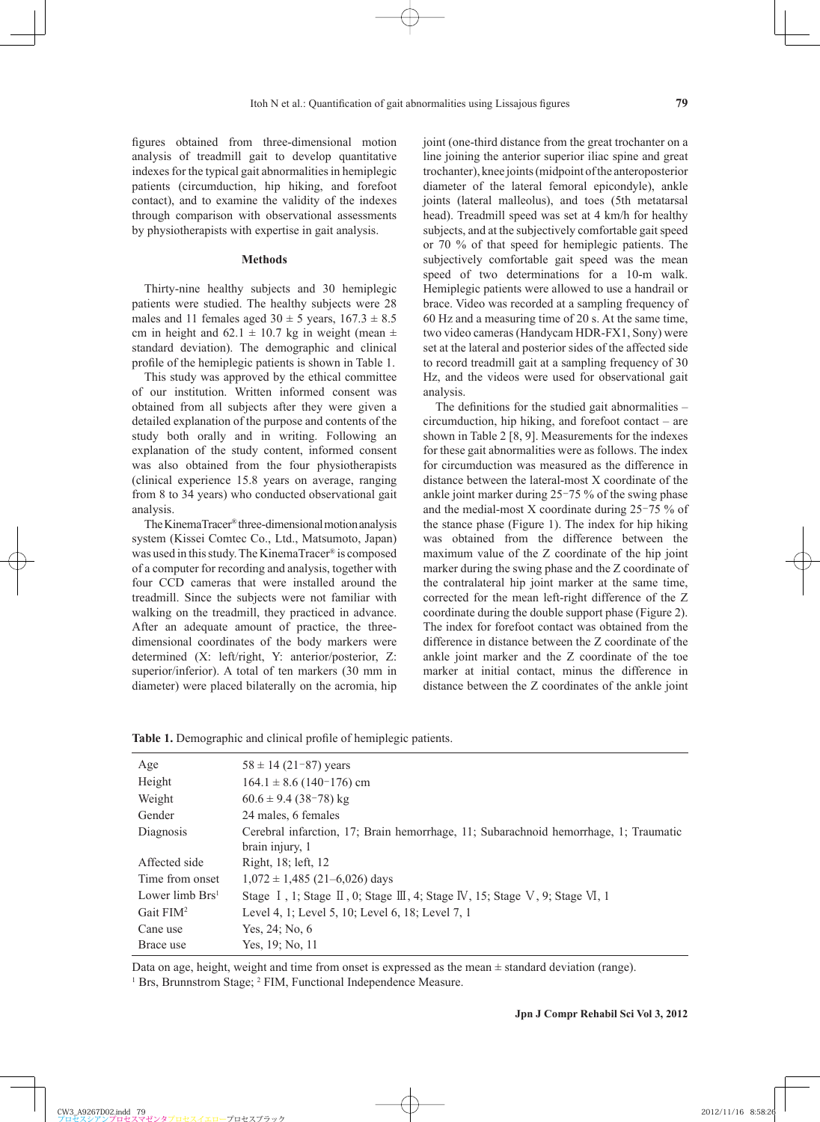figures obtained from three-dimensional motion analysis of treadmill gait to develop quantitative indexes for the typical gait abnormalities in hemiplegic patients (circumduction, hip hiking, and forefoot contact), and to examine the validity of the indexes through comparison with observational assessments by physiotherapists with expertise in gait analysis.

# **Methods**

Thirty-nine healthy subjects and 30 hemiplegic patients were studied. The healthy subjects were 28 males and 11 females aged  $30 \pm 5$  years,  $167.3 \pm 8.5$ cm in height and 62.1  $\pm$  10.7 kg in weight (mean  $\pm$ standard deviation). The demographic and clinical profile of the hemiplegic patients is shown in Table 1.

This study was approved by the ethical committee of our institution. Written informed consent was obtained from all subjects after they were given a detailed explanation of the purpose and contents of the study both orally and in writing. Following an explanation of the study content, informed consent was also obtained from the four physiotherapists (clinical experience 15.8 years on average, ranging from 8 to 34 years) who conducted observational gait analysis.

The KinemaTracer® three-dimensional motion analysis system (Kissei Comtec Co., Ltd., Matsumoto, Japan) was used in this study. The KinemaTracer® is composed of a computer for recording and analysis, together with four CCD cameras that were installed around the treadmill. Since the subjects were not familiar with walking on the treadmill, they practiced in advance. After an adequate amount of practice, the threedimensional coordinates of the body markers were determined (X: left/right, Y: anterior/posterior, Z: superior/inferior). A total of ten markers (30 mm in diameter) were placed bilaterally on the acromia, hip joint (one-third distance from the great trochanter on a line joining the anterior superior iliac spine and great trochanter), knee joints (midpoint of the anteroposterior diameter of the lateral femoral epicondyle), ankle joints (lateral malleolus), and toes (5th metatarsal head). Treadmill speed was set at 4 km/h for healthy subjects, and at the subjectively comfortable gait speed or 70 % of that speed for hemiplegic patients. The subjectively comfortable gait speed was the mean speed of two determinations for a 10-m walk. Hemiplegic patients were allowed to use a handrail or brace. Video was recorded at a sampling frequency of 60 Hz and a measuring time of 20 s. At the same time, two video cameras (Handycam HDR-FX1, Sony) were set at the lateral and posterior sides of the affected side to record treadmill gait at a sampling frequency of 30 Hz, and the videos were used for observational gait analysis.

The definitions for the studied gait abnormalities  $$ circumduction, hip hiking, and forefoot contact – are shown in Table 2 [8, 9]. Measurements for the indexes for these gait abnormalities were as follows. The index for circumduction was measured as the difference in distance between the lateral-most X coordinate of the ankle joint marker during  $25-75$  % of the swing phase and the medial-most X coordinate during  $25-75\%$  of the stance phase (Figure 1). The index for hip hiking was obtained from the difference between the maximum value of the Z coordinate of the hip joint marker during the swing phase and the Z coordinate of the contralateral hip joint marker at the same time, corrected for the mean left-right difference of the Z coordinate during the double support phase (Figure 2). The index for forefoot contact was obtained from the difference in distance between the Z coordinate of the ankle joint marker and the Z coordinate of the toe marker at initial contact, minus the difference in distance between the Z coordinates of the ankle joint

|  | Table 1. Demographic and clinical profile of hemiplegic patients. |  |  |  |  |
|--|-------------------------------------------------------------------|--|--|--|--|
|--|-------------------------------------------------------------------|--|--|--|--|

| Age               | $58 \pm 14$ (21-87) years                                                                               |
|-------------------|---------------------------------------------------------------------------------------------------------|
| Height            | $164.1 \pm 8.6$ (140-176) cm                                                                            |
| Weight            | $60.6 \pm 9.4$ (38-78) kg                                                                               |
| Gender            | 24 males, 6 females                                                                                     |
| Diagnosis         | Cerebral infarction, 17; Brain hemorrhage, 11; Subarachnoid hemorrhage, 1; Traumatic<br>brain injury, 1 |
| Affected side     | Right, 18; left, 12                                                                                     |
| Time from onset   | $1,072 \pm 1,485$ (21–6,026) days                                                                       |
| Lower limb $Brs1$ | Stage I, 1; Stage II, 0; Stage III, 4; Stage IV, 15; Stage V, 9; Stage VI, 1                            |
| Gait $FIM2$       | Level 4, 1; Level 5, 10; Level 6, 18; Level 7, 1                                                        |
| Cane use          | Yes, 24; No, 6                                                                                          |
| Brace use         | Yes, 19; No, 11                                                                                         |

Data on age, height, weight and time from onset is expressed as the mean ± standard deviation (range).

<sup>1</sup> Brs, Brunnstrom Stage; <sup>2</sup> FIM, Functional Independence Measure.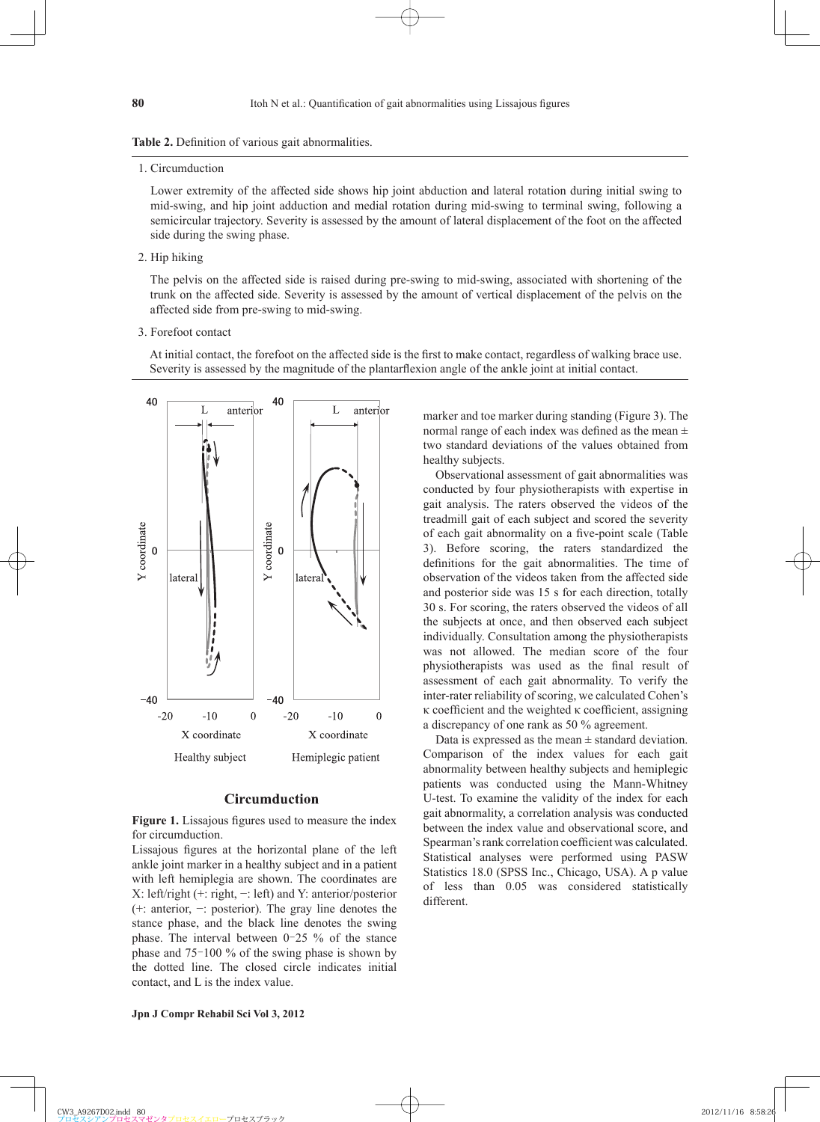## Table 2. Definition of various gait abnormalities.

1. Circumduction

 Lower extremity of the affected side shows hip joint abduction and lateral rotation during initial swing to mid-swing, and hip joint adduction and medial rotation during mid-swing to terminal swing, following a semicircular trajectory. Severity is assessed by the amount of lateral displacement of the foot on the affected side during the swing phase.

2. Hip hiking

 The pelvis on the affected side is raised during pre-swing to mid-swing, associated with shortening of the trunk on the affected side. Severity is assessed by the amount of vertical displacement of the pelvis on the affected side from pre-swing to mid-swing.

3. Forefoot contact

At initial contact, the forefoot on the affected side is the first to make contact, regardless of walking brace use. Severity is assessed by the magnitude of the plantarflexion angle of the ankle joint at initial contact.



# **Circumduction**

Figure 1. Lissajous figures used to measure the index for circumduction.

Lissajous figures at the horizontal plane of the left ankle joint marker in a healthy subject and in a patient with left hemiplegia are shown. The coordinates are X: left/right (+: right, −: left) and Y: anterior/posterior (+: anterior, −: posterior). The gray line denotes the stance phase, and the black line denotes the swing phase. The interval between  $0-25$  % of the stance phase and  $75-100\%$  of the swing phase is shown by the dotted line. The closed circle indicates initial contact, and L is the index value.

marker and toe marker during standing (Figure 3). The normal range of each index was defined as the mean  $\pm$ two standard deviations of the values obtained from healthy subjects.

Observational assessment of gait abnormalities was conducted by four physiotherapists with expertise in gait analysis. The raters observed the videos of the treadmill gait of each subject and scored the severity of each gait abnormality on a five-point scale (Table 3). Before scoring, the raters standardized the definitions for the gait abnormalities. The time of observation of the videos taken from the affected side and posterior side was 15 s for each direction, totally 30 s. For scoring, the raters observed the videos of all the subjects at once, and then observed each subject individually. Consultation among the physiotherapists was not allowed. The median score of the four physiotherapists was used as the final result of assessment of each gait abnormality. To verify the inter-rater reliability of scoring, we calculated Cohen's  $\kappa$  coefficient and the weighted  $\kappa$  coefficient, assigning a discrepancy of one rank as 50 % agreement.

Data is expressed as the mean  $\pm$  standard deviation. Comparison of the index values for each gait abnormality between healthy subjects and hemiplegic patients was conducted using the Mann-Whitney U-test. To examine the validity of the index for each gait abnormality, a correlation analysis was conducted between the index value and observational score, and Spearman's rank correlation coefficient was calculated. Statistical analyses were performed using PASW Statistics 18.0 (SPSS Inc., Chicago, USA). A p value of less than 0.05 was considered statistically different.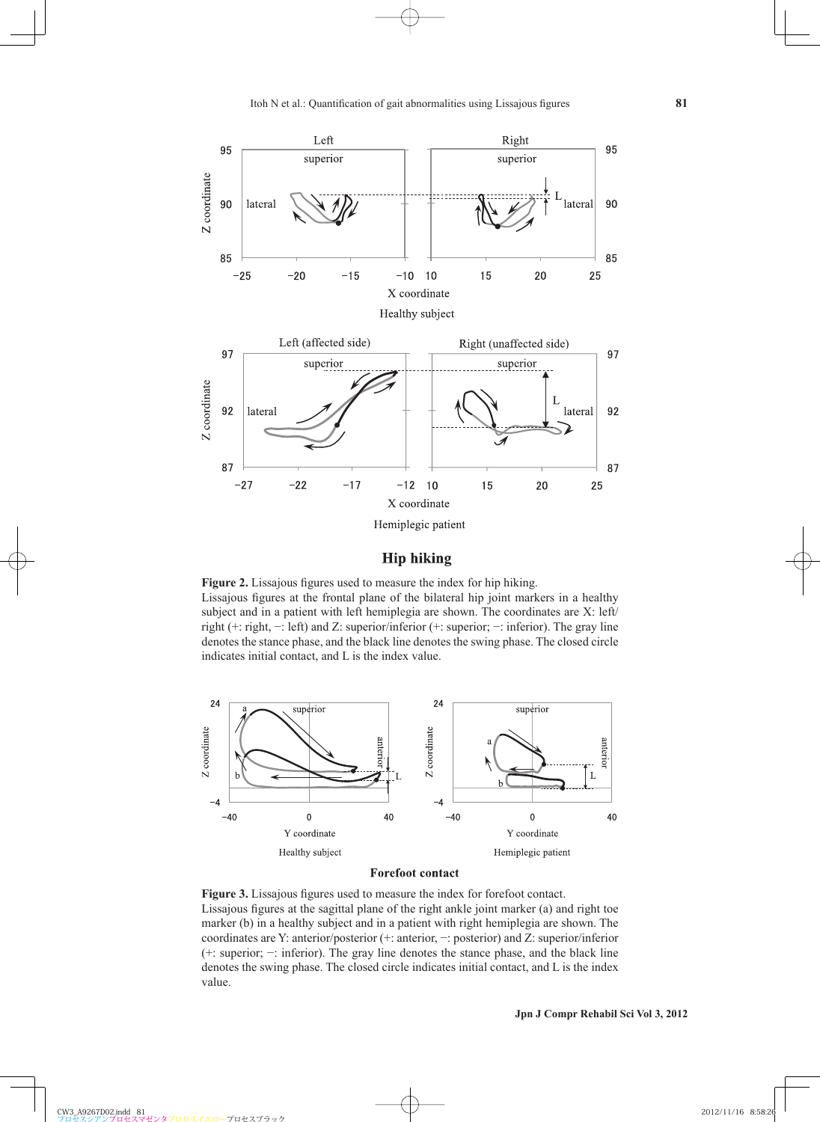

# **Hip hiking**

Figure 2. Lissajous figures used to measure the index for hip hiking. Lissajous figures at the frontal plane of the bilateral hip joint markers in a healthy subject and in a patient with left hemiplegia are shown. The coordinates are X: left/ right (+: right, −: left) and Z: superior/inferior (+: superior; −: inferior). The gray line denotes the stance phase, and the black line denotes the swing phase. The closed circle indicates initial contact, and L is the index value.



# **Forefoot contact**

Figure 3. Lissajous figures used to measure the index for forefoot contact. Lissajous figures at the sagittal plane of the right ankle joint marker  $(a)$  and right toe marker (b) in a healthy subject and in a patient with right hemiplegia are shown. The coordinates are Y: anterior/posterior (+: anterior, −: posterior) and Z: superior/inferior (+: superior; −: inferior). The gray line denotes the stance phase, and the black line denotes the swing phase. The closed circle indicates initial contact, and L is the index value.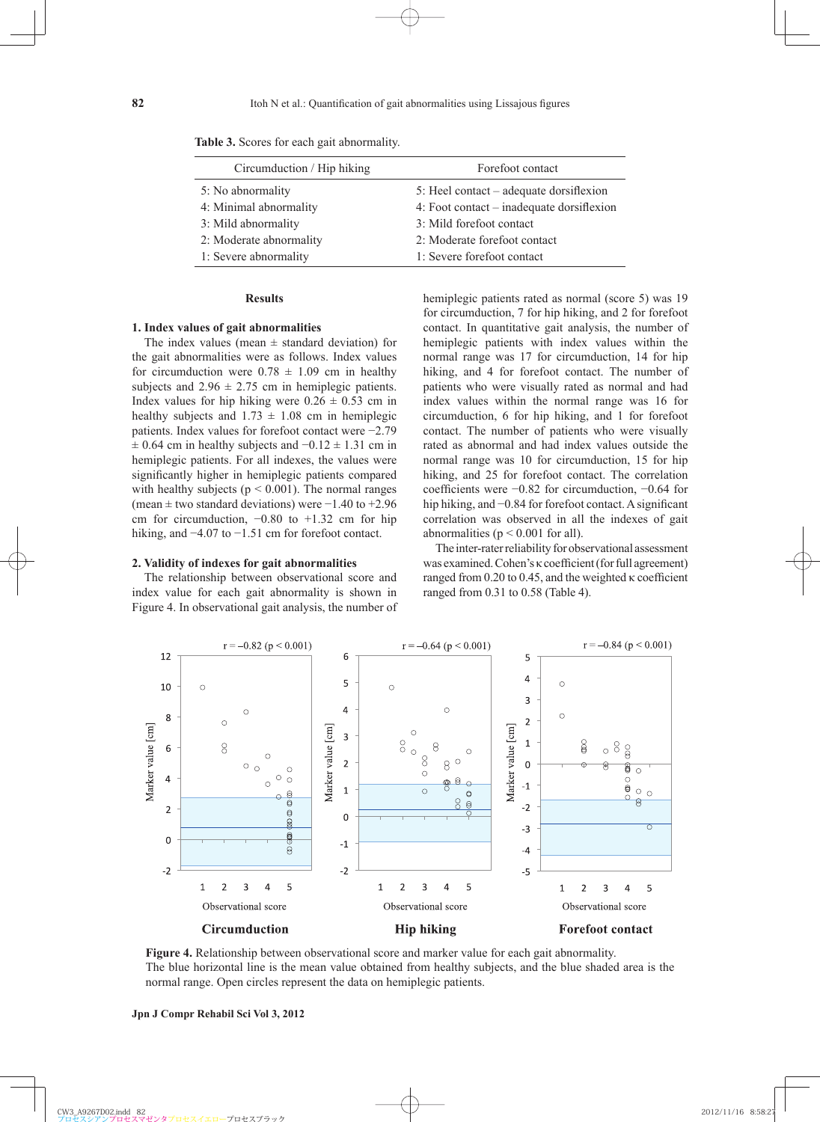| Circumduction / Hip hiking | Forefoot contact                          |
|----------------------------|-------------------------------------------|
| 5: No abnormality          | 5: Heel contact – adequate dorsifiexion   |
| 4: Minimal abnormality     | 4: Foot contact – inadequate dorsifiexion |
| 3: Mild abnormality        | 3: Mild forefoot contact                  |
| 2: Moderate abnormality    | 2: Moderate forefoot contact              |
| 1: Severe abnormality      | 1: Severe forefoot contact                |

**Table 3.** Scores for each gait abnormality.

#### **Results**

## **1. Index values of gait abnormalities**

The index values (mean  $\pm$  standard deviation) for the gait abnormalities were as follows. Index values for circumduction were  $0.78 \pm 1.09$  cm in healthy subjects and  $2.96 \pm 2.75$  cm in hemiplegic patients. Index values for hip hiking were  $0.26 \pm 0.53$  cm in healthy subjects and  $1.73 \pm 1.08$  cm in hemiplegic patients. Index values for forefoot contact were −2.79  $\pm$  0.64 cm in healthy subjects and  $-0.12 \pm 1.31$  cm in hemiplegic patients. For all indexes, the values were significantly higher in hemiplegic patients compared with healthy subjects ( $p < 0.001$ ). The normal ranges (mean ± two standard deviations) were −1.40 to +2.96 cm for circumduction, −0.80 to +1.32 cm for hip hiking, and −4.07 to −1.51 cm for forefoot contact.

#### **2. Validity of indexes for gait abnormalities**

The relationship between observational score and index value for each gait abnormality is shown in Figure 4. In observational gait analysis, the number of hemiplegic patients rated as normal (score 5) was 19 for circumduction, 7 for hip hiking, and 2 for forefoot contact. In quantitative gait analysis, the number of hemiplegic patients with index values within the normal range was 17 for circumduction, 14 for hip hiking, and 4 for forefoot contact. The number of patients who were visually rated as normal and had index values within the normal range was 16 for circumduction, 6 for hip hiking, and 1 for forefoot contact. The number of patients who were visually rated as abnormal and had index values outside the normal range was 10 for circumduction, 15 for hip hiking, and 25 for forefoot contact. The correlation coefficients were −0.82 for circumduction, −0.64 for hip hiking, and −0.84 for forefoot contact. A significant correlation was observed in all the indexes of gait abnormalities ( $p \le 0.001$  for all).

The inter-rater reliability for observational assessment was examined. Cohen's κ coefficient (for full agreement) ranged from  $0.20$  to  $0.45$ , and the weighted  $\kappa$  coefficient ranged from 0.31 to 0.58 (Table 4).



**Figure 4.** Relationship between observational score and marker value for each gait abnormality. The blue horizontal line is the mean value obtained from healthy subjects, and the blue shaded area is the normal range. Open circles represent the data on hemiplegic patients.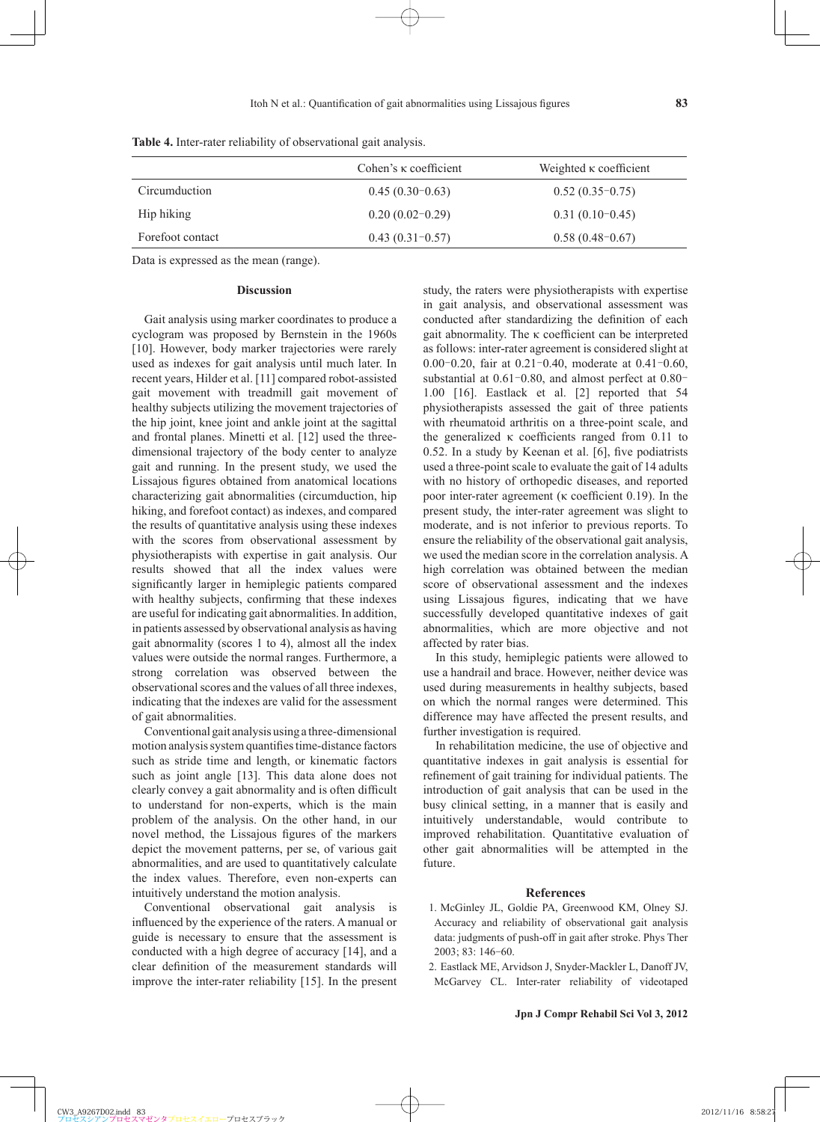|                  | Cohen's $\kappa$ coefficient | Weighted $\kappa$ coefficient |
|------------------|------------------------------|-------------------------------|
| Circumduction    | $0.45(0.30-0.63)$            | $0.52(0.35-0.75)$             |
| Hip hiking       | $0.20(0.02-0.29)$            | $0.31(0.10-0.45)$             |
| Forefoot contact | $0.43(0.31-0.57)$            | $0.58(0.48-0.67)$             |

**Table 4.** Inter-rater reliability of observational gait analysis.

Data is expressed as the mean (range).

## **Discussion**

Gait analysis using marker coordinates to produce a cyclogram was proposed by Bernstein in the 1960s [10]. However, body marker trajectories were rarely used as indexes for gait analysis until much later. In recent years, Hilder et al. [11] compared robot-assisted gait movement with treadmill gait movement of healthy subjects utilizing the movement trajectories of the hip joint, knee joint and ankle joint at the sagittal and frontal planes. Minetti et al. [12] used the threedimensional trajectory of the body center to analyze gait and running. In the present study, we used the Lissajous figures obtained from anatomical locations characterizing gait abnormalities (circumduction, hip hiking, and forefoot contact) as indexes, and compared the results of quantitative analysis using these indexes with the scores from observational assessment by physiotherapists with expertise in gait analysis. Our results showed that all the index values were significantly larger in hemiplegic patients compared with healthy subjects, confirming that these indexes are useful for indicating gait abnormalities. In addition, in patients assessed by observational analysis as having gait abnormality (scores 1 to 4), almost all the index values were outside the normal ranges. Furthermore, a strong correlation was observed between the observational scores and the values of all three indexes, indicating that the indexes are valid for the assessment of gait abnormalities.

Conventional gait analysis using a three-dimensional motion analysis system quantifies time-distance factors such as stride time and length, or kinematic factors such as joint angle [13]. This data alone does not clearly convey a gait abnormality and is often difficult to understand for non-experts, which is the main problem of the analysis. On the other hand, in our novel method, the Lissajous figures of the markers depict the movement patterns, per se, of various gait abnormalities, and are used to quantitatively calculate the index values. Therefore, even non-experts can intuitively understand the motion analysis.

Conventional observational gait analysis is influenced by the experience of the raters. A manual or guide is necessary to ensure that the assessment is conducted with a high degree of accuracy [14], and a clear definition of the measurement standards will improve the inter-rater reliability [15]. In the present study, the raters were physiotherapists with expertise in gait analysis, and observational assessment was conducted after standardizing the definition of each gait abnormality. The  $\kappa$  coefficient can be interpreted as follows: inter-rater agreement is considered slight at 0.00 $-0.20$ , fair at 0.21 $-0.40$ , moderate at 0.41 $-0.60$ , substantial at  $0.61 - 0.80$ , and almost perfect at  $0.80$ <sup>-</sup> 1.00 [16]. Eastlack et al. [2] reported that 54 physiotherapists assessed the gait of three patients with rheumatoid arthritis on a three-point scale, and the generalized  $\kappa$  coefficients ranged from 0.11 to 0.52. In a study by Keenan et al.  $[6]$ , five podiatrists used a three-point scale to evaluate the gait of 14 adults with no history of orthopedic diseases, and reported poor inter-rater agreement ( $\kappa$  coefficient 0.19). In the present study, the inter-rater agreement was slight to moderate, and is not inferior to previous reports. To ensure the reliability of the observational gait analysis, we used the median score in the correlation analysis. A high correlation was obtained between the median score of observational assessment and the indexes using Lissajous figures, indicating that we have successfully developed quantitative indexes of gait abnormalities, which are more objective and not affected by rater bias.

In this study, hemiplegic patients were allowed to use a handrail and brace. However, neither device was used during measurements in healthy subjects, based on which the normal ranges were determined. This difference may have affected the present results, and further investigation is required.

In rehabilitation medicine, the use of objective and quantitative indexes in gait analysis is essential for refinement of gait training for individual patients. The introduction of gait analysis that can be used in the busy clinical setting, in a manner that is easily and intuitively understandable, would contribute to improved rehabilitation. Quantitative evaluation of other gait abnormalities will be attempted in the future.

# **References**

- 1 . McGinley JL, Goldie PA, Greenwood KM, Olney SJ. Accuracy and reliability of observational gait analysis data: judgments of push-off in gait after stroke. Phys Ther 2003; 83: 146-60.
- 2 . Eastlack ME, Arvidson J, Snyder-Mackler L, Danoff JV, McGarvey CL. Inter-rater reliability of videotaped